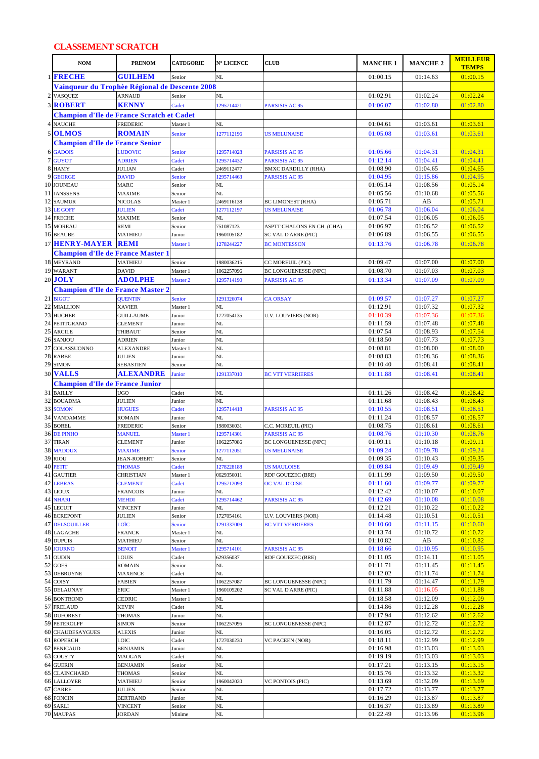## **CLASSEMENT SCRATCH**

|                | <b>NOM</b>                                          | <b>PRENOM</b>                        | <b>CATEGORIE</b>    | N° LICENCE               | <b>CLUB</b>                                   | <b>MANCHE 1</b>      | <b>MANCHE 2</b>      | <b>MEILLEUR</b><br><b>TEMPS</b> |
|----------------|-----------------------------------------------------|--------------------------------------|---------------------|--------------------------|-----------------------------------------------|----------------------|----------------------|---------------------------------|
|                | 1 FRECHE                                            | <b>GUILHEM</b>                       | Senior              | NL                       |                                               | 01:00.15             | 01:14.63             | 01:00.15                        |
|                | Vainqueur du Trophèe Régional de Descente 2008      |                                      |                     |                          |                                               |                      |                      |                                 |
|                | 2 VASQUEZ                                           | <b>ARNAUD</b>                        | Senior              | NL                       |                                               | 01:02.91             | 01:02.24             | 01:02.24                        |
|                | <b>3 ROBERT</b>                                     | <b>KENNY</b>                         | Cadet               | 1295714421               | <b>PARSISIS AC 95</b>                         | 01:06.07             | 01:02.80             | 01:02.80                        |
|                | <b>Champion d'Ile de France Scratch et Cadet</b>    |                                      |                     |                          |                                               |                      |                      |                                 |
| 4              | <b>NAUCHE</b>                                       | <b>FREDERIC</b>                      | Master 1            | NL                       |                                               | 01:04.61             | 01:03.61             | 01:03.61                        |
|                | 5 OLMOS                                             | <b>ROMAIN</b>                        | <b>Senior</b>       | 1277112196               | <b>US MELUNAISE</b>                           | 01:05.08             | 01:03.61             | 01:03.61                        |
|                | <b>Champion d'Ile de France Senior</b>              |                                      |                     |                          |                                               |                      |                      |                                 |
|                | <b>6 GADOIS</b>                                     | <b>LUDOVIC</b>                       | Senior              | 1295714028               | PARSISIS AC 95                                | 01:05.66             | 01:04.31             | 01:04.31                        |
| $\overline{7}$ | <b>GUYOT</b><br>8 HAMY                              | <b>ADRIEN</b><br><b>JULIAN</b>       | Cadet<br>Cadet      | 1295714432<br>2469112477 | PARSISIS AC 95<br><b>BMXC DARDILLY (RHA)</b>  | 01:12.14<br>01:08.90 | 01:04.41<br>01:04.65 | 01:04.41<br>01:04.65            |
|                | 9 GEORGE                                            | <b>DAVID</b>                         | Senior              | 1295714463               | PARSISIS AC 95                                | 01:04.95             | 01:15.86             | 01:04.95                        |
|                | 10 JOUNEAU                                          | MARC                                 | Senior              | NL                       |                                               | 01:05.14             | 01:08.56             | 01:05.14                        |
|                | 11 JANSSENS                                         | <b>MAXIME</b>                        | Senior              | NL                       |                                               | 01:05.56             | 01:10.68             | 01:05.56                        |
|                | 12 SAUMUR                                           | <b>NICOLAS</b>                       | Master 1            | 2469116138               | <b>BC LIMONEST (RHA)</b>                      | 01:05.71             | AB                   | 01:05.71                        |
|                | 13 LE GOFF<br>14 FRECHE                             | <b>JULIEN</b>                        | Cadet               | 1277112197<br>NL         | <b>US MELUNAISE</b>                           | 01:06.78<br>01:07.54 | 01:06.04<br>01:06.05 | 01:06.04<br>01:06.05            |
|                | 15 MOREAU                                           | <b>MAXIME</b><br><b>REMI</b>         | Senior<br>Senior    | 751087123                | ASPTT CHALONS EN CH. (CHA)                    | 01:06.97             | 01:06.52             | 01:06.52                        |
|                | 16 BEAUBE                                           | <b>MATHIEU</b>                       | Junior              | 1960105182               | <b>SC VAL D'ARRE (PIC)</b>                    | 01:06.89             | 01:06.55             | 01:06.55                        |
|                | 17 HENRY-MAYER REMI                                 |                                      | Master 1            | 1278244227               | <b>BC MONTESSON</b>                           | 01:13.76             | 01:06.78             | 01:06.78                        |
|                | <b>Champion d'Ile de France Master 1</b>            |                                      |                     |                          |                                               |                      |                      |                                 |
|                | 18 MEYRAND                                          | <b>MATHIEU</b>                       | Senior              | 1980036215               | CC MOREUIL (PIC)                              | 01:09.47             | 01:07.00             | 01:07.00                        |
|                | 19 WARANT                                           | <b>DAVID</b>                         | Master 1            | 1062257096               | <b>BC LONGUENESSE (NPC)</b>                   | 01:08.70             | 01:07.03             | 01:07.03                        |
|                | 20 JOLY                                             | <b>ADOLPHE</b>                       | Master <sub>2</sub> | 1295714190               | <b>PARSISIS AC 95</b>                         | 01:13.34             | 01:07.09             | 01:07.09                        |
|                | <b>Champion d'Ile de France Master 2</b>            |                                      |                     |                          |                                               |                      |                      |                                 |
|                | 21 BIGOT                                            | <b>QUENTIN</b>                       | Senior              | 1291326074               | <b>CA ORSAY</b>                               | 01:09.57             | 01:07.27             | 01:07.27                        |
|                | 22 MIALLION<br>23 HUCHER                            | <b>XAVIER</b><br><b>GUILLAUME</b>    | Master 1            | NL<br>1727054135         |                                               | 01:12.91<br>01:10.39 | 01:07.32<br>01:07.36 | 01:07.32<br>01:07.36            |
|                | 24 PETITGRAND                                       | <b>CLEMENT</b>                       | Junior<br>Junior    | NL                       | <b>U.V. LOUVIERS (NOR)</b>                    | 01:11.59             | 01:07.48             | 01:07.48                        |
|                | 25 ARCILE                                           | THIBAUT                              | Senior              | NL                       |                                               | 01:07.54             | 01:08.93             | 01:07.54                        |
|                | 26 SANJOU                                           | <b>ADRIEN</b>                        | Junior              | NL                       |                                               | 01:18.50             | 01:07.73             | 01:07.73                        |
|                | 27 COLASSUONNO                                      | <b>ALEXANDRE</b>                     | Master 1            | NL                       |                                               | 01:08.81             | 01:08.00             | 01:08.00                        |
|                | 28 RABBE                                            | <b>JULIEN</b>                        | Junior              | NL                       |                                               | 01:08.83             | 01:08.36             | 01:08.36                        |
|                | 29 SIMON<br><b>30 VALLS</b>                         | <b>SEBASTIEN</b><br><b>ALEXANDRE</b> | Senior              | NL                       |                                               | 01:10.40<br>01:11.88 | 01:08.41             | 01:08.41<br>01:08.41            |
|                |                                                     |                                      | <b>Junior</b>       | 1291337010               | <b>BC VTT VERRIERES</b>                       |                      | 01:08.41             |                                 |
|                | <b>Champion d'Ile de France Junior</b><br>31 BAILLY | <b>UGO</b>                           | Cadet               | NL                       |                                               | 01:11.26             | 01:08.42             | 01:08.42                        |
|                | 32 BOUADMA                                          | <b>JULIEN</b>                        | Junior              | NL                       |                                               | 01:11.68             | 01:08.43             | 01:08.43                        |
|                | 33 SOMON                                            | <b>HUGUES</b>                        | Cadet               | 1295714418               | PARSISIS AC 95                                | 01:10.55             | 01:08.51             | 01:08.51                        |
|                | 34 VANDAMME                                         | <b>ROMAIN</b>                        | Junior              | NL                       |                                               | 01:11.24             | 01:08.57             | 01:08.57                        |
|                | 35 BOREL                                            | FREDERIC                             | Senior              | 1980036031               | C.C. MOREUIL (PIC)                            | 01:08.75             | 01:08.61             | 01:08.61                        |
|                | 36 DE PINHO<br>37 TIRAN                             | <b>MANUEL</b><br><b>CLEMENT</b>      | Master 1<br>Junior  | 1295714301<br>1062257086 | PARSISIS AC 95<br><b>BC LONGUENESSE (NPC)</b> | 01:08.76<br>01:09.11 | 01:10.30<br>01:10.18 | 01:08.76<br>01:09.11            |
|                | 38 MADOUX                                           | <b>MAXIME</b>                        | Senior              | 1277112051               | <b>US MELUNAISE</b>                           | 01:09.24             | 01:09.78             | 01:09.24                        |
|                | 39 RIOU                                             | <b>JEAN-ROBERT</b>                   | Senior              | NL                       |                                               | 01:09.35             | 01:10.43             | 01:09.35                        |
|                | 40 PETIT                                            | <b>THOMAS</b>                        | Cadet               | 1278228188               | <b>US MAULOISE</b>                            | 01:09.84             | 01:09.49             | 01:09.49                        |
|                | 41 GAUTIER                                          | <b>CHRISTIAN</b>                     | Master 1            | 0629356011               | RDF GOUEZEC (BRE)                             | 01:11.99             | 01:09.50             | 01:09.50                        |
|                | <b>42 LEBRAS</b>                                    | <b>CLEMENT</b>                       | Cadet               | 1295712093               | <b>OC VAL D'OISE</b>                          | 01:11.60             | 01:09.77             | 01:09.77                        |
|                | 43 LIOUX<br>44 NHARI                                | <b>FRANCOIS</b><br><b>MEHDI</b>      | Junior<br>Cadet     | NL<br>1295714462         | PARSISIS AC 95                                | 01:12.42<br>01:12.69 | 01:10.07<br>01:10.08 | 01:10.07<br>01:10.08            |
|                | 45 LECUIT                                           | VINCENT                              | Junior              | NL                       |                                               | 01:12.21             | 01:10.22             | 01:10.22                        |
|                | 46 ECREPONT                                         | JULIEN                               | Senior              | 1727054161               | U.V. LOUVIERS (NOR)                           | 01:14.48             | 01:10.51             | 01:10.51                        |
|                | <b>47 DELSOUILLER</b>                               | LOÏC                                 | Senior              | 1291337009               | <b>BC VTT VERRIERES</b>                       | 01:10.60             | 01:11.15             | 01:10.60                        |
|                | <b>48 LAGACHE</b>                                   | FRANCK                               | Master 1            | NL                       |                                               | 01:13.74             | 01:10.72             | 01:10.72                        |
|                | 49 DUPUIS<br>50 JOURNO                              | <b>MATHIEU</b><br><b>BENOIT</b>      | Senior<br>Master 1  | NL<br>1295714101         | PARSISIS AC 95                                | 01:10.82<br>01:18.66 | AB<br>01:10.95       | 01:10.82<br>01:10.95            |
|                | 51 OUDIN                                            | LOUIS                                | Cadet               | 629356037                | RDF GOUEZEC (BRE)                             | 01:11.05             | 01:14.11             | 01:11.05                        |
|                | 52 GOES                                             | ROMAIN                               | Senior              | NL                       |                                               | 01:11.71             | 01:11.45             | 01:11.45                        |
|                | 53 DEBRUYNE                                         | MAXENCE                              | Cadet               | NL                       |                                               | 01:12.02             | 01:11.74             | 01:11.74                        |
|                | 54 COISY                                            | <b>FABIEN</b>                        | Senior              | 1062257087               | BC LONGUENESSE (NPC)                          | 01:11.79             | 01:14.47             | 01:11.79                        |
|                | 55 DELAUNAY                                         | ERIC                                 | Master 1            | 1960105202               | SC VAL D'ARRE (PIC)                           | 01:11.88             | 01:16.05             | 01:11.88                        |
|                | 56 BONTROND<br>57 FRELAUD                           | <b>CEDRIC</b><br>KEVIN               | Master 1<br>Cadet   | NL<br>NL                 |                                               | 01:18.58<br>01:14.86 | 01:12.09<br>01:12.28 | 01:12.09<br>01:12.28            |
|                | 58 DUFOREST                                         | <b>THOMAS</b>                        | Junior              | NL                       |                                               | 01:17.94             | 01:12.62             | 01:12.62                        |
|                | 59 PETEROLFF                                        | SIMON                                | Senior              | 1062257095               | <b>BC LONGUENESSE (NPC)</b>                   | 01:12.87             | 01:12.72             | 01:12.72                        |
|                | 60 CHAUDESAYGUES                                    | ALEXIS                               | Junior              | NL                       |                                               | 01:16.05             | 01:12.72             | 01:12.72                        |
|                | 61 ROPERCH                                          | LOIC                                 | Cadet               | 1727030230               | VC PACEEN (NOR)                               | 01:18.11             | 01:12.99             | 01:12.99                        |
|                | 62 PENICAUD                                         | <b>BENJAMIN</b>                      | Junior              | NL                       |                                               | 01:16.98             | 01:13.03             | 01:13.03                        |
|                | 63 COUSTY<br>64 GUERIN                              | <b>MAOGAN</b><br><b>BENJAMIN</b>     | Cadet<br>Senior     | NL<br>NL                 |                                               | 01:19.19<br>01:17.21 | 01:13.03<br>01:13.15 | 01:13.03<br>01:13.15            |
|                | <b>65 CLAINCHARD</b>                                | <b>THOMAS</b>                        | Senior              | NL                       |                                               | 01:15.76             | 01:13.32             | 01:13.32                        |
|                | <b>66 LALLOYER</b>                                  | MATHIEU                              | Senior              | 1960042020               | VC PONTOIS (PIC)                              | 01:13.69             | 01:32.09             | 01:13.69                        |
|                | 67 CARRE                                            | JULIEN                               | Senior              | NL                       |                                               | 01:17.72             | 01:13.77             | 01:13.77                        |
|                | 68 FONCIN                                           | BERTRAND                             | Junior              | NL                       |                                               | 01:16.29             | 01:13.87             | 01:13.87                        |
|                | 69 SARLI                                            | VINCENT                              | Senior              | $\rm NL$                 |                                               | 01:16.37             | 01:13.89             | 01:13.89                        |
|                | 70 MAUPAS                                           | JORDAN                               | Minime              | $\rm NL$                 |                                               | 01:22.49             | 01:13.96             | 01:13.96                        |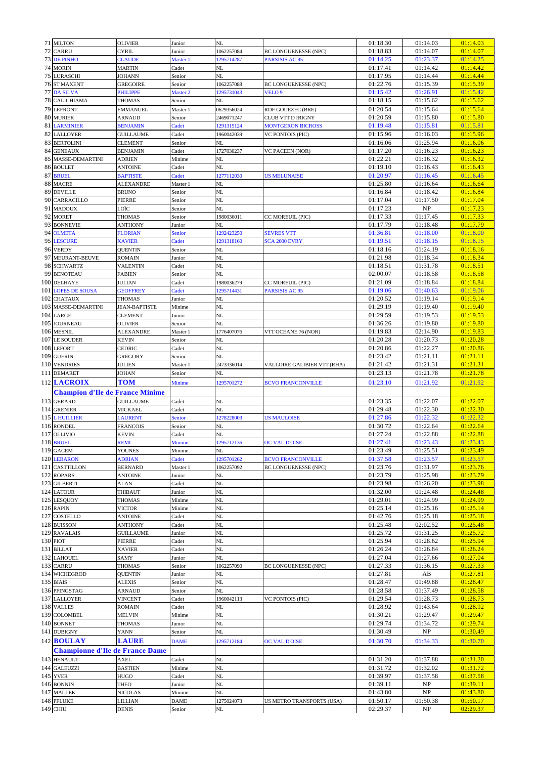|    | 71 MILTON                              | <b>OLIVIER</b>                   | Junior                 | NL               |                             | 01:18.30             | 01:14.03             | 01:14.03             |
|----|----------------------------------------|----------------------------------|------------------------|------------------|-----------------------------|----------------------|----------------------|----------------------|
|    | 72 CARRU                               | <b>CYRIL</b>                     | Junior                 | 1062257084       | <b>BC LONGUENESSE (NPC)</b> | 01:18.83             | 01:14.07             | 01:14.07             |
|    | <b>73 DE PINHO</b>                     | <b>CLAUDE</b>                    | Master 1               | 1295714287       | PARSISIS AC 95              | 01:14.25             | 01:23.37             | 01:14.25             |
|    | 74 MORIN<br><b>75 LURASCHI</b>         | <b>MARTIN</b><br>JOHANN          | Cadet<br>Senior        | NL<br>NL         |                             | 01:17.41<br>01:17.95 | 01:14.42<br>01:14.44 | 01:14.42<br>01:14.44 |
|    | <b>76 ST MAXENT</b>                    | <b>GREGOIRE</b>                  | Senior                 | 1062257088       | <b>BC LONGUENESSE (NPC)</b> | 01:22.76             | 01:15.39             | 01:15.39             |
|    | 77 DA SILVA                            | PHILIPPE                         | Master 2               | 1295731043       | VELO <sub>9</sub>           | 01:15.42             | 01:26.91             | 01:15.42             |
|    | <b>78 CALICHIAMA</b>                   | <b>THOMAS</b>                    | Senior                 | NL               |                             | 01:18.15             | 01:15.62             | 01:15.62             |
|    | 79 LEFRONT                             | <b>EMMANUEL</b>                  | Master 1               | 0629356024       | RDF GOUEZEC (BRE)           | 01:20.54             | 01:15.64             | 01:15.64             |
|    | 80 MURIER                              | <b>ARNAUD</b>                    | Senior                 | 2469071247       | CLUB VTT D IRIGNY           | 01:20.59             | 01:15.80             | 01:15.80             |
|    | 81 LARMINIER                           | <b>BENJAMIN</b>                  | Cadet                  | 1291315124       | <b>MONTGERON BICROSS</b>    | 01:19.48             | 01:15.81             | 01:15.81             |
|    | 82 LALLOYER                            | <b>GUILLAUME</b>                 | Cadet                  | 1960042039       | <b>VC PONTOIS (PIC)</b>     | 01:15.96             | 01:16.03             | 01:15.96             |
|    | 83 BERTOLINI                           | <b>CLEMENT</b>                   | Senior                 | NL               |                             | 01:16.06             | 01:25.94             | 01:16.06             |
|    | 84 GENEAUX<br>85 MASSE-DEMARTINI       | <b>BENJAMIN</b><br><b>ADRIEN</b> | Cadet<br>Minime        | 1727030237<br>NL | <b>VC PACEEN (NOR)</b>      | 01:17.20<br>01:22.21 | 01:16.23<br>01:16.32 | 01:16.23<br>01:16.32 |
|    | 86 BOULET                              | <b>ANTOINE</b>                   | Cadet                  | NL               |                             | 01:19.10             | 01:16.43             | 01:16.43             |
|    | 87 BRUEL                               | <b>BAPTISTE</b>                  | Cadet                  | 1277112030       | <b>US MELUNAISE</b>         | 01:20.97             | 01:16.45             | 01:16.45             |
|    | 88 MACRE                               | <b>ALEXANDRE</b>                 | Master 1               | NL               |                             | 01:25.80             | 01:16.64             | 01:16.64             |
|    | 89 DEVILLE                             | <b>BRUNO</b>                     | Senior                 | NL               |                             | 01:16.84             | 01:18.42             | 01:16.84             |
|    | 90 CARRACILLO                          | PIERRE                           | Senior                 | NL               |                             | 01:17.04             | 01:17.50             | 01:17.04             |
|    | 91 MADOUX<br>92 MORET                  | OÏC<br><b>THOMAS</b>             | Senior                 | NL<br>1980036011 |                             | 01:17.23<br>01:17.33 | NP<br>01:17.45       | 01:17.23<br>01:17.33 |
|    | 93 BONNEVIE                            | <b>ANTHONY</b>                   | Senior<br>Junior       | NL               | CC MOREUIL (PIC)            | 01:17.79             | 01:18.48             | 01:17.79             |
|    | 94 OLMETA                              | <b>FLORIAN</b>                   | Senior                 | 1292423250       | <b>SEVRES VTT</b>           | 01:36.81             | 01:18.00             | 01:18.00             |
|    | 95 LESCURE                             | <b>XAVIER</b>                    | Cadet                  | 1291318160       | <b>SCA 2000 EVRY</b>        | 01:19.51             | 01:18.15             | 01:18.15             |
|    | 96 VERDY                               | <b>QUENTIN</b>                   | Senior                 | NL               |                             | 01:18.16             | 01:24.19             | 01:18.16             |
| 97 | MEURANT-BEUVE                          | <b>ROMAIN</b>                    | Junior                 | NL               |                             | 01:21.98             | 01:18.34             | 01:18.34             |
|    | 98 SCHWARTZ                            | VALENTIN                         | Cadet                  | NL               |                             | 01:18.51             | 01:31.78             | 01:18.51             |
|    | 99 BENOTEAU<br>100 DELHAYE             | <b>FABIEN</b><br><b>JULIAN</b>   | Senior<br>Cadet        | NL<br>1980036279 | CC MOREUIL (PIC)            | 02:00.07<br>01:21.09 | 01:18.58<br>01:18.84 | 01:18.58<br>01:18.84 |
|    | 101 LOPES DE SOUSA                     | <b>GEOFFREY</b>                  | Cadet                  | 1295714431       | PARSISIS AC 95              | 01:19.06             | 01:40.63             | 01:19.06             |
|    | 102 CHATAUX                            | THOMAS                           | Junior                 | NL               |                             | 01:20.52             | 01:19.14             | 01:19.14             |
|    | 103 MASSE-DEMARTINI                    | <b>JEAN-BAPTISTE</b>             | Minime                 | NL               |                             | 01:29.19             | 01:19.40             | 01:19.40             |
|    | 104 LARGE                              | <b>CLEMENT</b>                   | Junior                 | NL               |                             | 01:29.59             | 01:19.53             | 01:19.53             |
|    | 105 JOURNEAU                           | <b>OLIVIER</b>                   | Senior                 | NL               |                             | 01:36.26             | 01:19.80             | 01:19.80             |
|    | 106 MESNIL                             | <b>ALEXANDRE</b>                 | Master 1               | 1776407076<br>NL | VTT OCEANE 76 (NOR)         | 01:19.83<br>01:20.28 | 02:14.90<br>01:20.73 | 01:19.83<br>01:20.28 |
|    | 107 LE SOUDER<br>108 LEFORT            | <b>KEVIN</b><br><b>CEDRIC</b>    | Senior<br>Cadet        | NL               |                             | 01:20.86             | 01:22.27             | 01:20.86             |
|    | 109 GUERIN                             | <b>GREGORY</b>                   | Senior                 | NL               |                             | 01:23.42             | 01:21.11             | 01:21.11             |
|    | 110 VENDRIES                           | <b>JULIEN</b>                    | Master 1               | 2473336014       | VALLOIRE GALIBIER VTT (RHA) | 01:21.42             | 01:21.31             | 01:21.31             |
|    | 111 DEMARET                            | <b>JOHAN</b>                     | Senior                 | NL               |                             | 01:23.13             | 01:21.78             | 01:21.78             |
|    |                                        |                                  |                        |                  |                             |                      |                      |                      |
|    | <b>112 LACROIX</b>                     | TOM                              | Minime                 | 1295701272       | <b>BCVO FRANCONVILLE</b>    | 01:23.10             | 01:21.92             | 01:21.92             |
|    | <b>Champion d'Ile de France Minime</b> |                                  |                        |                  |                             |                      |                      |                      |
|    | 113 GERARD                             | <b>GUILLAUME</b>                 | Cadet                  | NL               |                             | 01:23.35             | 01:22.07             | 01:22.07             |
|    | 114 GRENIER                            | <b>MICKAEL</b>                   | Cadet                  | NL               |                             | 01:29.48             | 01:22.30             | 01:22.30             |
|    | 115 L HUILLIER                         | <b>LAURENT</b>                   | Senior                 | 1278228003       | <b>US MAULOISE</b>          | 01:27.86             | 01:22.32             | 01:22.32             |
|    | 116 RONDEL                             | <b>FRANCOIS</b>                  | Senior                 | NL               |                             | 01:30.72             | 01:22.64             | 01:22.64             |
|    | 117 OLLIVIO                            | KEVIN<br><b>REMI</b>             | Cadet<br>Minime        | NL<br>1295712136 | OC VAL D'OISE               | 01:27.24<br>01:27.41 | 01:22.88<br>01:23.43 | 01:22.88<br>01:23.43 |
|    | 118 BRUEL<br>119 GACEM                 | <b>YOUNES</b>                    | Minime                 | NL               |                             | 01:23.49             | 01:25.51             | 01:23.49             |
|    | 120 LEBARON                            | <b>ADRIAN</b>                    | Cadet                  | 1295701262       | <b>BCVO FRANCONVILLE</b>    | 01:37.58             | 01:23.57             | 01:23.57             |
|    | 121 CASTTILLON                         | <b>BERNARD</b>                   | Master 1               | 1062257092       | <b>BC LONGUENESSE (NPC)</b> | 01:23.76             | 01:31.97             | 01:23.76             |
|    | 122 ROPARS                             | ANTOINE                          | Junior                 | NL               |                             | 01:23.79             | 01:25.98             | 01:23.79             |
|    | 123 GILBERTI                           | ALAN                             | Cadet                  | NL<br>NL         |                             | 01:23.98             | 01:26.20             | 01:23.98<br>01:24.48 |
|    | 124 LATOUR<br>125 LESQUOY              | THIBAUT<br><b>THOMAS</b>         | Junior<br>Minime       | NL               |                             | 01:32.00<br>01:29.01 | 01:24.48<br>01:24.99 | 01:24.99             |
|    | 126 RAPIN                              | <b>VICTOR</b>                    | Minime                 | NL               |                             | 01:25.14             | 01:25.16             | 01:25.14             |
|    | 127 COSTELLO                           | ANTOINE                          | Cadet                  | NL               |                             | 01:42.76             | 01:25.18             | 01:25.18             |
|    | 128 BUISSON                            | <b>ANTHONY</b>                   | Cadet                  | NL               |                             | 01:25.48             | 02:02.52             | 01:25.48             |
|    | 129 RAVALAIS                           | GUILLAUME                        | Junior                 | NL               |                             | 01:25.72             | 01:31.25             | 01:25.72             |
|    | 130 PIOT                               | PIERRE                           | Cadet                  | NL<br>NL         |                             | 01:25.94             | 01:28.62             | 01:25.94             |
|    | 131 BILLAT<br>132 LAHOUEL              | <b>XAVIER</b><br>SAMY            | Cadet<br>Junior        | NL               |                             | 01:26.24<br>01:27.04 | 01:26.84<br>01:27.66 | 01:26.24<br>01:27.04 |
|    | 133 CARRU                              | THOMAS                           | Senior                 | 1062257090       | BC LONGUENESSE (NPC)        | 01:27.33             | 01:36.15             | 01:27.33             |
|    | 134 WICHEGROD                          | <b>QUENTIN</b>                   | Junior                 | NL               |                             | 01:27.81             | AB                   | 01:27.81             |
|    | 135 BIAIS                              | <b>ALEXIS</b>                    | Senior                 | NL               |                             | 01:28.47             | 01:49.88             | 01:28.47             |
|    | 136 PFINGSTAG                          | ARNAUD                           | Senior                 | NL               |                             | 01:28.58             | 01:37.49             | 01:28.58             |
|    | 137 LALLOYER                           | <b>VINCENT</b>                   | Cadet                  | 1960042113<br>NL | <b>VC PONTOIS (PIC)</b>     | 01:29.54             | 01:28.73             | 01:28.73             |
|    | 138 VALLES<br>139 COLOMBEL             | ROMAIN<br><b>MELVIN</b>          | Cadet<br>Minime        | NL               |                             | 01:28.92<br>01:30.21 | 01:43.64<br>01:29.47 | 01:28.92<br>01:29.47 |
|    | 140 BONNET                             | THOMAS                           | Junior                 | NL               |                             | 01:29.74             | 01:34.72             | 01:29.74             |
|    | 141 DUBIGNY                            | <b>YANN</b>                      | Senior                 | NL               |                             | 01:30.49             | NP                   | 01:30.49             |
|    | 142 <b>BOULAY</b>                      | <b>LAURE</b>                     | <b>DAME</b>            | 1295712184       | <b>OC VAL D'OISE</b>        | 01:30.70             | 01:34.33             | 01:30.70             |
|    | <b>Championne d'Ile de France Dame</b> |                                  |                        |                  |                             |                      |                      |                      |
|    | 143 HENAULT                            | <b>AXEL</b>                      | $\operatorname{Cadet}$ | NL               |                             | 01:31.20             | 01:37.88             | 01:31.20             |
|    | 144 GALEUZZI                           | <b>BASTIEN</b>                   | Minime                 | NL               |                             | 01:31.72             | 01:32.02             | 01:31.72             |
|    | 145 YVER                               | <b>HUGO</b>                      | Cadet                  | NL               |                             | 01:39.97             | 01:37.58             | 01:37.58             |
|    | 146 BONNIN<br>147 MALLEK               | THEO<br>NICOLAS                  | Junior<br>Minime       | NL<br>NL         |                             | 01:39.11<br>01:43.80 | NP<br>NP             | 01:39.11<br>01:43.80 |
|    | 148 PFLUKE<br>149 CHIU                 | LILLIAN                          | <b>DAME</b>            | 1275024073       | US METRO TRANSPORTS (USA)   | 01:50.17<br>02:29.37 | 01:50.38             | 01:50.17             |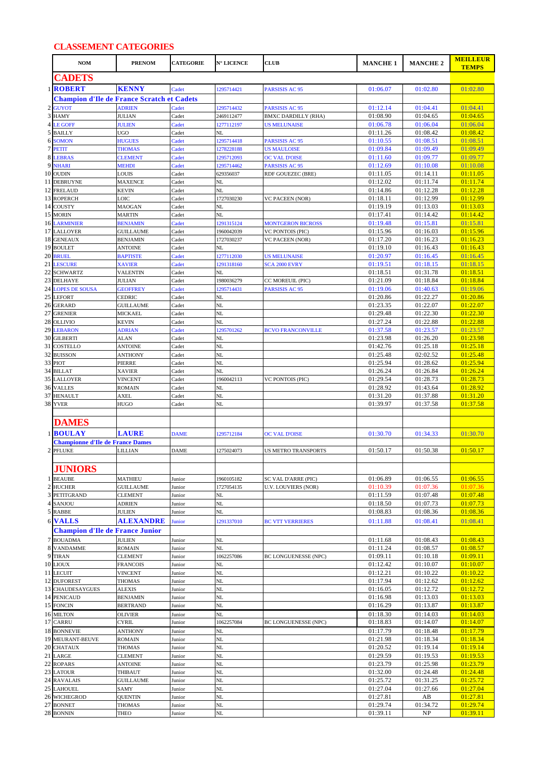## **CLASSEMENT CATEGORIES**

|                | <b>NOM</b>                                        | <b>PRENOM</b>                       | <b>CATEGORIE</b> | <b>N° LICENCE</b>        | <b>CLUB</b>                                  | <b>MANCHE 1</b>      | <b>MANCHE 2</b>      | <b>MEILLEUR</b><br><b>TEMPS</b> |
|----------------|---------------------------------------------------|-------------------------------------|------------------|--------------------------|----------------------------------------------|----------------------|----------------------|---------------------------------|
|                | <b>CADETS</b>                                     |                                     |                  |                          |                                              |                      |                      |                                 |
|                | 1 ROBERT                                          | <b>KENNY</b>                        | Cadet            | 1295714421               | PARSISIS AC 95                               | 01:06.07             | 01:02.80             | 01:02.80                        |
|                | <b>Champion d'Ile de France Scratch et Cadets</b> |                                     |                  |                          |                                              |                      |                      |                                 |
| $\overline{c}$ | <b>GUYOT</b>                                      | <b>ADRIEN</b>                       | Cadet            | 1295714432               | PARSISIS AC 95                               | 01:12.14             | 01:04.41             | 01:04.41                        |
|                | 3 HAMY                                            | <b>JULIAN</b>                       | Cadet            | 2469112477               | <b>BMXC DARDILLY (RHA)</b>                   | 01:08.90             | 01:04.65             | 01:04.65                        |
|                | 4 LE GOFF                                         | <b>JULIEN</b>                       | Cadet            | 1277112197               | <b>US MELUNAISE</b>                          | 01:06.78             | 01:06.04             | 01:06.04                        |
|                | 5 BAILLY<br>6 SOMON                               | <b>UGO</b><br><b>HUGUES</b>         | Cadet<br>Cadet   | NL<br>1295714418         | <b>PARSISIS AC 95</b>                        | 01:11.26<br>01:10.55 | 01:08.42<br>01:08.51 | 01:08.42<br>01:08.51            |
|                | 7 PETIT                                           | <b>THOMAS</b>                       | Cadet            | 1278228188               | <b>US MAULOISE</b>                           | 01:09.84             | 01:09.49             | 01:09.49                        |
|                | <b>8 LEBRAS</b>                                   | <b>CLEMENT</b>                      | Cadet            | 1295712093               | <b>OC VAL D'OISE</b>                         | 01:11.60             | 01:09.77             | 01:09.77                        |
|                | 9 NHARI                                           | <b>MEHDI</b>                        | Cadet            | 1295714462               | <b>PARSISIS AC 95</b>                        | 01:12.69             | 01:10.08             | 01:10.08                        |
|                | 10 OUDIN<br>11 DEBRUYNE                           | LOUIS                               | Cadet            | 629356037                | RDF GOUEZEC (BRE)                            | 01:11.05             | 01:14.11             | 01:11.05<br>01:11.74            |
|                | 12 FRELAUD                                        | <b>MAXENCE</b><br><b>KEVIN</b>      | Cadet<br>Cadet   | NL<br>NL                 |                                              | 01:12.02<br>01:14.86 | 01:11.74<br>01:12.28 | 01:12.28                        |
|                | 13 ROPERCH                                        | LOIC                                | Cadet            | 1727030230               | VC PACEEN (NOR)                              | 01:18.11             | 01:12.99             | 01:12.99                        |
|                | 14 COUSTY                                         | MAOGAN                              | Cadet            | NL                       |                                              | 01:19.19             | 01:13.03             | 01:13.03                        |
|                | 15 MORIN                                          | <b>MARTIN</b>                       | Cadet            | NL                       |                                              | 01:17.41             | 01:14.42             | 01:14.42                        |
|                | <b>16 LARMINIER</b><br>17 LALLOYER                | <b>BENJAMIN</b><br><b>GUILLAUME</b> | Cadet<br>Cadet   | 1291315124<br>1960042039 | <b>MONTGERON BICROSS</b><br>VC PONTOIS (PIC) | 01:19.48<br>01:15.96 | 01:15.81<br>01:16.03 | 01:15.81<br>01:15.96            |
|                | 18 GENEAUX                                        | <b>BENJAMIN</b>                     | Cadet            | 1727030237               | <b>VC PACEEN (NOR)</b>                       | 01:17.20             | 01:16.23             | 01:16.23                        |
|                | 19 BOULET                                         | <b>ANTOINE</b>                      | Cadet            | NL                       |                                              | 01:19.10             | 01:16.43             | 01:16.43                        |
|                | 20 BRUEL                                          | <b>BAPTISTE</b>                     | Cadet            | 1277112030               | <b>US MELUNAISE</b>                          | 01:20.97             | 01:16.45             | 01:16.45                        |
|                | 21 LESCURE<br>22 SCHWARTZ                         | <b>XAVIER</b><br><b>VALENTIN</b>    | Cadet<br>Cadet   | 1291318160<br>NL         | <b>SCA 2000 EVRY</b>                         | 01:19.51<br>01:18.51 | 01:18.15<br>01:31.78 | 01:18.15<br>01:18.51            |
|                | 23 DELHAYE                                        | <b>JULIAN</b>                       | Cadet            | 1980036279               | CC MOREUIL (PIC)                             | 01:21.09             | 01:18.84             | 01:18.84                        |
|                | <b>24 LOPES DE SOUSA</b>                          | <b>GEOFFREY</b>                     | Cadet            | 1295714431               | PARSISIS AC 95                               | 01:19.06             | 01:40.63             | 01:19.06                        |
|                | 25 LEFORT                                         | CEDRIC                              | Cadet            | NL                       |                                              | 01:20.86             | 01:22.27             | 01:20.86                        |
|                | 26 GERARD                                         | <b>GUILLAUME</b>                    | Cadet            | NL                       |                                              | 01:23.35             | 01:22.07             | 01:22.07                        |
|                | 27 GRENIER<br>28 OLLIVIO                          | <b>MICKAEL</b><br><b>KEVIN</b>      | Cadet<br>Cadet   | NL<br>NL                 |                                              | 01:29.48<br>01:27.24 | 01:22.30<br>01:22.88 | 01:22.30<br>01:22.88            |
|                | 29 LEBARON                                        | <b>ADRIAN</b>                       | Cadet            | 1295701262               | <b>BCVO FRANCONVILLE</b>                     | 01:37.58             | 01:23.57             | 01:23.57                        |
|                | 30 GILBERTI                                       | <b>ALAN</b>                         | Cadet            | NL                       |                                              | 01:23.98             | 01:26.20             | 01:23.98                        |
|                | 31 COSTELLO                                       | <b>ANTOINE</b>                      | Cadet            | NL                       |                                              | 01:42.76             | 01:25.18             | 01:25.18                        |
|                | 32 BUISSON<br>33 PIOT                             | <b>ANTHONY</b><br>PIERRE            | Cadet<br>Cadet   | NL<br>NL                 |                                              | 01:25.48<br>01:25.94 | 02:02.52<br>01:28.62 | 01:25.48<br>01:25.94            |
|                | 34 BILLAT                                         | <b>XAVIER</b>                       | Cadet            | NL                       |                                              | 01:26.24             | 01:26.84             | 01:26.24                        |
|                | 35 LALLOYER                                       | <b>VINCENT</b>                      | Cadet            | 1960042113               | <b>VC PONTOIS (PIC)</b>                      | 01:29.54             | 01:28.73             | 01:28.73                        |
|                | 36 VALLES                                         | <b>ROMAIN</b>                       | Cadet            | NL                       |                                              | 01:28.92             | 01:43.64             | 01:28.92                        |
|                | 37 HENAULT<br>38 YVER                             | AXEL                                | Cadet            | NL                       |                                              | 01:31.20             | 01:37.88             | 01:31.20                        |
|                |                                                   | <b>HUGO</b>                         | Cadet            | NL                       |                                              | 01:39.97             | 01:37.58             | 01:37.58                        |
|                | DAMES                                             |                                     |                  |                          |                                              |                      |                      |                                 |
| $\mathbf{1}$   | <b>BOULAY</b>                                     | <b>LAURE</b>                        | <b>DAME</b>      | 1295712184               | <b>OC VAL D'OISE</b>                         | 01:30.70             | 01:34.33             | 01:30.70                        |
|                | <b>Championne d'Ile de France Dames</b>           |                                     |                  |                          |                                              |                      |                      |                                 |
|                | 2 PFLUKE                                          | <b>LILLIAN</b>                      | <b>DAME</b>      | 1275024073               | US METRO TRANSPORTS                          | 01:50.17             | 01:50.38             | 01:50.17                        |
|                |                                                   |                                     |                  |                          |                                              |                      |                      |                                 |
|                | <b>JUNIORS</b>                                    |                                     |                  |                          |                                              |                      |                      |                                 |
|                | 1 BEAUBE                                          | <b>MATHIEU</b>                      | Junior           | 1960105182               | SC VAL D'ARRE (PIC)                          | 01:06.89             | 01:06.55             | 01:06.55                        |
|                | 2 HUCHER<br>3 PETITGRAND                          | <b>GUILLAUME</b><br><b>CLEMENT</b>  | Junior           | 1727054135<br>NL         | U.V. LOUVIERS (NOR)                          | 01:10.39<br>01:11.59 | 01:07.36<br>01:07.48 | 01:07.36<br>01:07.48            |
|                | 4 SANJOU                                          | <b>ADRIEN</b>                       | Junior<br>Junior | NL                       |                                              | 01:18.50             | 01:07.73             | 01:07.73                        |
|                | 5 RABBE                                           | <b>JULIEN</b>                       | Junior           | NL                       |                                              | 01:08.83             | 01:08.36             | 01:08.36                        |
| 6              | <b>VALLS</b>                                      | <b>ALEXANDRE</b>                    | Junior           | 1291337010               | <b>BC VTT VERRIERES</b>                      | 01:11.88             | 01:08.41             | 01:08.41                        |
|                | <b>Champion d'Ile de France Junior</b>            |                                     |                  |                          |                                              |                      |                      |                                 |
|                | 7 BOUADMA                                         | <b>JULIEN</b>                       | Junior           | NL                       |                                              | 01:11.68             | 01:08.43             | 01:08.43                        |
|                | 8 VANDAMME<br>9 TIRAN                             | <b>ROMAIN</b><br><b>CLEMENT</b>     | Junior<br>Junior | NL<br>1062257086         | BC LONGUENESSE (NPC)                         | 01:11.24<br>01:09.11 | 01:08.57<br>01:10.18 | 01:08.57<br>01:09.11            |
|                | 10 LIOUX                                          | <b>FRANCOIS</b>                     | Junior           | NL                       |                                              | 01:12.42             | 01:10.07             | 01:10.07                        |
|                | 11 LECUIT                                         | <b>VINCENT</b>                      | Junior           | NL                       |                                              | 01:12.21             | 01:10.22             | 01:10.22                        |
|                | 12 DUFOREST                                       | THOMAS                              | Junior           | NL                       |                                              | 01:17.94             | 01:12.62             | 01:12.62                        |
|                | 13 CHAUDESAYGUES<br>14 PENICAUD                   | <b>ALEXIS</b>                       | Junior           | NL<br>NL                 |                                              | 01:16.05             | 01:12.72             | 01:12.72<br>01:13.03            |
|                | 15 FONCIN                                         | <b>BENJAMIN</b><br><b>BERTRAND</b>  | Junior<br>Junior | NL                       |                                              | 01:16.98<br>01:16.29 | 01:13.03<br>01:13.87 | 01:13.87                        |
|                | 16 MILTON                                         | <b>OLIVIER</b>                      | Junior           | NL                       |                                              | 01:18.30             | 01:14.03             | 01:14.03                        |
|                | 17 CARRU                                          | <b>CYRIL</b>                        | Junior           | 1062257084               | <b>BC LONGUENESSE (NPC)</b>                  | 01:18.83             | 01:14.07             | 01:14.07                        |
|                | <b>18 BONNEVIE</b>                                | <b>ANTHONY</b>                      | Junior           | NL                       |                                              | 01:17.79             | 01:18.48             | 01:17.79                        |
|                | 19 MEURANT-BEUVE<br>20 CHATAUX                    | <b>ROMAIN</b><br>THOMAS             | Junior<br>Junior | NL<br>NL                 |                                              | 01:21.98<br>01:20.52 | 01:18.34<br>01:19.14 | 01:18.34<br>01:19.14            |
|                | 21 LARGE                                          | <b>CLEMENT</b>                      | Junior           | NL                       |                                              | 01:29.59             | 01:19.53             | 01:19.53                        |
|                | 22 ROPARS                                         | <b>ANTOINE</b>                      | Junior           | NL                       |                                              | 01:23.79             | 01:25.98             | 01:23.79                        |
|                | 23 LATOUR                                         | THIBAUT                             | Junior           | NL                       |                                              | 01:32.00             | 01:24.48             | 01:24.48                        |
|                | 24 RAVALAIS<br>25 LAHOUEL                         | <b>GUILLAUME</b><br>SAMY            | Junior           | NL<br>NL                 |                                              | 01:25.72<br>01:27.04 | 01:31.25<br>01:27.66 | 01:25.72<br>01:27.04            |
|                | 26 WICHEGROD                                      | <b>QUENTIN</b>                      | Junior<br>Junior | NL                       |                                              | 01:27.81             | AB                   | 01:27.81                        |
|                | 27 BONNET                                         | THOMAS                              | Junior           | NL                       |                                              | 01:29.74             | 01:34.72             | 01:29.74                        |
|                | 28 BONNIN                                         | THEO                                | Junior           | NL                       |                                              | 01:39.11             | NP                   | 01:39.11                        |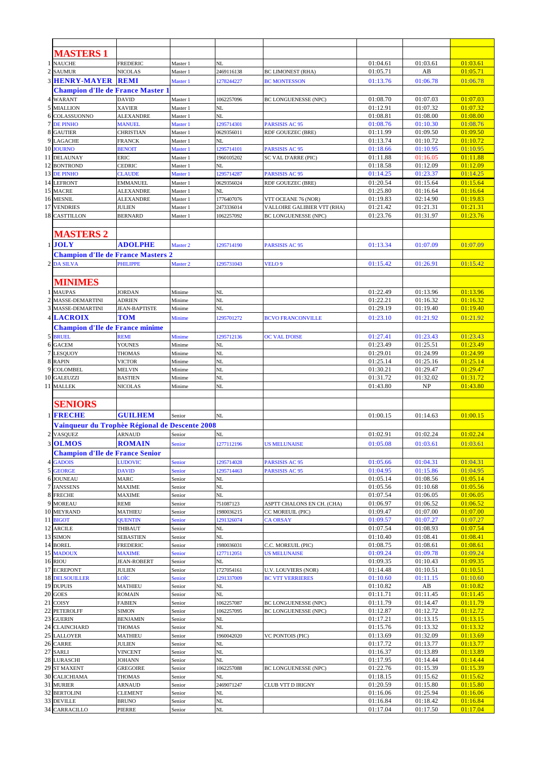|                         | <b>MASTERS 1</b>                               |                                |                      |                          |                                     |                      |                      |                      |
|-------------------------|------------------------------------------------|--------------------------------|----------------------|--------------------------|-------------------------------------|----------------------|----------------------|----------------------|
|                         | 1 NAUCHE                                       | FREDERIC                       | Master 1             | NL                       |                                     | 01:04.61             | 01:03.61             | 01:03.61             |
|                         | 2 SAUMUR                                       | <b>NICOLAS</b>                 | Master 1             | 2469116138               | <b>BC LIMONEST (RHA)</b>            | 01:05.71             | AB                   | 01:05.71             |
|                         | <b>3 HENRY-MAYER REMI</b>                      |                                | Master 1             | 1278244227               | <b>BC MONTESSON</b>                 | 01:13.76             | 01:06.78             | 01:06.78             |
|                         | <b>Champion d'Ile de France Master 1</b>       |                                |                      |                          |                                     |                      |                      |                      |
|                         | 4 WARANT                                       | <b>DAVID</b>                   | Master 1             | 1062257096               | BC LONGUENESSE (NPC)                | 01:08.70             | 01:07.03             | 01:07.03             |
|                         | 5 MIALLION                                     | <b>XAVIER</b>                  | Master 1             | NL                       |                                     | 01:12.91             | 01:07.32             | 01:07.32             |
|                         | 6 COLASSUONNO                                  | <b>ALEXANDRE</b>               | Master 1             | NL                       |                                     | 01:08.81             | 01:08.00             | 01:08.00             |
|                         | <b>7 DE PINHO</b>                              | <b>MANUEL</b>                  | Master 1             | 1295714301               | <b>PARSISIS AC 95</b>               | 01:08.76             | 01:10.30             | 01:08.76             |
|                         | 8 GAUTIER                                      | <b>CHRISTIAN</b>               | Master 1             | 0629356011               | RDF GOUEZEC (BRE)                   | 01:11.99             | 01:09.50             | 01:09.50             |
|                         | 9 LAGACHE<br>10 JOURNO                         | FRANCK<br><b>BENOIT</b>        | Master 1<br>Master 1 | NL<br>1295714101         | <b>PARSISIS AC 95</b>               | 01:13.74<br>01:18.66 | 01:10.72<br>01:10.95 | 01:10.72<br>01:10.95 |
|                         | 11 DELAUNAY                                    | ERIC                           | Master 1             | 1960105202               | SC VAL D'ARRE (PIC)                 | 01:11.88             | 01:16.05             | 01:11.88             |
|                         | 12 BONTROND                                    | CEDRIC                         | Master 1             | NL                       |                                     | 01:18.58             | 01:12.09             | 01:12.09             |
|                         | 13 DE PINHO                                    | <b>CLAUDE</b>                  | Master 1             | 1295714287               | <b>PARSISIS AC 95</b>               | 01:14.25             | 01:23.37             | 01:14.25             |
|                         | 14 LEFRONT                                     | <b>EMMANUEL</b>                | Master 1             | 0629356024               | <b>RDF GOUEZEC (BRE)</b>            | 01:20.54             | 01:15.64             | 01:15.64             |
|                         | 15 MACRE                                       | <b>ALEXANDRE</b>               | Master 1             | NL                       |                                     | 01:25.80             | 01:16.64             | 01:16.64             |
|                         | 16 MESNIL                                      | ALEXANDRE                      | Master 1             | 1776407076               | VTT OCEANE 76 (NOR)                 | 01:19.83             | 02:14.90             | 01:19.83             |
|                         | 17 VENDRIES                                    | <b>JULIEN</b>                  | Master 1             | 2473336014               | VALLOIRE GALIBIER VTT (RHA)         | 01:21.42             | 01:21.31             | 01:21.31             |
|                         | 18 CASTTILLON                                  | <b>BERNARD</b>                 | Master 1             | 1062257092               | <b>BC LONGUENESSE (NPC)</b>         | 01:23.76             | 01:31.97             | 01:23.76             |
|                         |                                                |                                |                      |                          |                                     |                      |                      |                      |
|                         | <b>MASTERS 2</b>                               |                                |                      |                          |                                     |                      |                      |                      |
|                         | $1$ JOLY                                       | <b>ADOLPHE</b>                 | Master <sub>2</sub>  | 1295714190               | <b>PARSISIS AC 95</b>               | 01:13.34             | 01:07.09             | 01:07.09             |
|                         | <b>Champion d'Ile de France Masters 2</b>      |                                |                      |                          |                                     |                      |                      |                      |
|                         | 2 DA SILVA                                     | <b>PHILIPPE</b>                | Master <sub>2</sub>  | 1295731043               | <b>VELO 9</b>                       | 01:15.42             | 01:26.91             | 01:15.42             |
|                         |                                                |                                |                      |                          |                                     |                      |                      |                      |
|                         | MINIMES                                        |                                |                      |                          |                                     |                      |                      |                      |
| -1                      | <b>MAUPAS</b>                                  | JORDAN                         | Minime               | NL                       |                                     | 01:22.49             | 01:13.96             | 01:13.96             |
| $\overline{\mathbf{c}}$ | MASSE-DEMARTINI                                | <b>ADRIEN</b>                  | Minime               | NL                       |                                     | 01:22.21             | 01:16.32             | 01:16.32             |
|                         | 3 MASSE-DEMARTINI                              | <b>JEAN-BAPTISTE</b>           | Minime               | NL                       |                                     | 01:29.19             | 01:19.40             | 01:19.40             |
|                         | 4 LACROIX                                      | <b>TOM</b>                     | Minime               | 1295701272               | <b>BCVO FRANCONVILLE</b>            | 01:23.10             | 01:21.92             | 01:21.92             |
|                         | <b>Champion d'Ile de France minime</b>         |                                |                      |                          |                                     |                      |                      |                      |
|                         | 5 BRUEL                                        | REMI                           | Minime               | 1295712136               | <b>OC VAL D'OISE</b>                | 01:27.41             | 01:23.43             | 01:23.43             |
| 6<br>$\tau$             | <b>GACEM</b>                                   | YOUNES                         | Minime               | NL                       |                                     | 01:23.49             | 01:25.51             | 01:23.49             |
| 8                       | <b>LESQUOY</b><br><b>RAPIN</b>                 | <b>THOMAS</b><br><b>VICTOR</b> | Minime<br>Minime     | NL<br>NL                 |                                     | 01:29.01<br>01:25.14 | 01:24.99<br>01:25.16 | 01:24.99<br>01:25.14 |
| 9                       | <b>COLOMBEL</b>                                | MELVIN                         | Minime               | NL                       |                                     | 01:30.21             | 01:29.47             | 01:29.47             |
|                         | 10 GALEUZZI                                    | <b>BASTIEN</b>                 | Minime               | NL                       |                                     | 01:31.72             | 01:32.02             | 01:31.72             |
|                         | 11 MALLEK                                      | NICOLAS                        | Minime               | NL                       |                                     | 01:43.80             | NP                   | 01:43.80             |
|                         |                                                |                                |                      |                          |                                     |                      |                      |                      |
|                         | <b>SENIORS</b>                                 |                                |                      |                          |                                     |                      |                      |                      |
|                         | 1 FRECHE                                       | <b>GUILHEM</b>                 | Senior               | NL                       |                                     | 01:00.15             | 01:14.63             | 01:00.15             |
|                         | Vainqueur du Trophèe Régional de Descente 2008 |                                |                      |                          |                                     |                      |                      |                      |
| $\boldsymbol{2}$        | <b>VASQUEZ</b>                                 | <b>ARNAUD</b>                  | Senior               | NL                       |                                     | 01:02.91             | 01:02.24             | 01:02.24             |
|                         | 3 OLMOS                                        | <b>ROMAIN</b>                  | <b>Senior</b>        | 1277112196               | US MELUNAISE                        | 01:05.08             | 01:03.61             | 01:03.61             |
|                         | <b>Champion d'Ile de France Senior</b>         |                                |                      |                          |                                     |                      |                      |                      |
|                         | <b>4 GADOIS</b>                                | <b>LUDOVIC</b>                 | Senior               | 1295714028               | <b>PARSISIS AC 95</b>               | 01:05.66             | 01:04.31             | 01:04.31             |
|                         | 5 GEORGE                                       | <b>DAVID</b>                   | Senior               | 1295714463               | <b>PARSISIS AC 95</b>               | 01:04.95             | 01:15.86             | 01:04.95             |
|                         | <b>6 JOUNEAU</b>                               | MARC                           | Senior               | NL                       |                                     | 01:05.14             | 01:08.56             | 01:05.14             |
|                         | 7 JANSSENS                                     | MAXIME                         | Senior               | NL                       |                                     | 01:05.56             | 01:10.68             | 01:05.56             |
|                         | 8 FRECHE                                       | MAXIME                         | Senior               | NL                       |                                     | 01:07.54             | 01:06.05             | 01:06.05             |
|                         | 9 MOREAU                                       | REMI                           | Senior               | 751087123                | ASPTT CHALONS EN CH. (CHA)          | 01:06.97             | 01:06.52             | 01:06.52             |
|                         | 10 MEYRAND<br>11 BIGOT                         | MATHIEU<br><b>QUENTIN</b>      | Senior<br>Senior     | 1980036215<br>1291326074 | CC MOREUIL (PIC)<br><b>CA ORSAY</b> | 01:09.47<br>01:09.57 | 01:07.00<br>01:07.27 | 01:07.00<br>01:07.27 |
|                         | 12 ARCILE                                      | THIBAUT                        | Senior               | NL                       |                                     | 01:07.54             | 01:08.93             | 01:07.54             |
|                         | 13 SIMON                                       | SEBASTIEN                      | Senior               | NL                       |                                     | 01:10.40             | 01:08.41             | 01:08.41             |
|                         | 14 BOREL                                       | FREDERIC                       | Senior               | 1980036031               | C.C. MOREUIL (PIC)                  | 01:08.75             | 01:08.61             | 01:08.61             |
|                         | 15 MADOUX                                      | <b>MAXIME</b>                  | Senior               | 1277112051               | <b>US MELUNAISE</b>                 | 01:09.24             | 01:09.78             | 01:09.24             |
|                         | 16 RIOU                                        | <b>JEAN-ROBERT</b>             | Senior               | NL                       |                                     | 01:09.35             | 01:10.43             | 01:09.35             |
|                         | 17 ECREPONT                                    | JULIEN                         | Senior               | 1727054161               | <b>U.V. LOUVIERS (NOR)</b>          | 01:14.48             | 01:10.51             | 01:10.51             |
|                         | <b>18 DELSOUILLER</b>                          | LOÏC                           | Senior               | 1291337009               | <b>BC VTT VERRIERES</b>             | 01:10.60             | 01:11.15             | 01:10.60             |
|                         | 19 DUPUIS<br>20 GOES                           | MATHIEU<br>ROMAIN              | Senior<br>Senior     | NL<br>NL                 |                                     | 01:10.82<br>01:11.71 | AB<br>01:11.45       | 01:10.82<br>01:11.45 |
|                         | 21 COISY                                       | FABIEN                         | Senior               | 1062257087               | BC LONGUENESSE (NPC)                | 01:11.79             | 01:14.47             | 01:11.79             |
|                         | 22 PETEROLFF                                   | SIMON                          | Senior               | 1062257095               | <b>BC LONGUENESSE (NPC)</b>         | 01:12.87             | 01:12.72             | 01:12.72             |
|                         | 23 GUERIN                                      | <b>BENJAMIN</b>                | Senior               | NL                       |                                     | 01:17.21             | 01:13.15             | 01:13.15             |
|                         | 24 CLAINCHARD                                  | THOMAS                         | Senior               | NL                       |                                     | 01:15.76             | 01:13.32             | 01:13.32             |
|                         | 25 LALLOYER                                    | MATHIEU                        | Senior               | 1960042020               | <b>VC PONTOIS (PIC)</b>             | 01:13.69             | 01:32.09             | 01:13.69             |
|                         | 26 CARRE                                       | JULIEN                         | Senior               | NL                       |                                     | 01:17.72             | 01:13.77             | 01:13.77             |
|                         | 27 SARLI                                       | VINCENT                        | Senior               | NL                       |                                     | 01:16.37             | 01:13.89             | 01:13.89             |
|                         | 28 LURASCHI<br>29 ST MAXENT                    | JOHANN<br>GREGOIRE             | Senior<br>Senior     | NL<br>1062257088         | <b>BC LONGUENESSE (NPC)</b>         | 01:17.95<br>01:22.76 | 01:14.44<br>01:15.39 | 01:14.44<br>01:15.39 |
|                         | 30 CALICHIAMA                                  | THOMAS                         | Senior               | NL                       |                                     | 01:18.15             | 01:15.62             | 01:15.62             |
|                         | 31 MURIER                                      | ARNAUD                         | Senior               | 2469071247               | CLUB VTT D IRIGNY                   | 01:20.59             | 01:15.80             | 01:15.80             |
|                         | 32 BERTOLINI                                   | <b>CLEMENT</b>                 | Senior               | NL                       |                                     | 01:16.06             | 01:25.94             | 01:16.06             |
|                         | 33 DEVILLE                                     | <b>BRUNO</b>                   | Senior               | NL                       |                                     | 01:16.84             | 01:18.42             | 01:16.84             |
|                         | <b>34 CARRACILLO</b>                           | PIERRE                         | Senior               | NL                       |                                     | 01:17.04             | 01:17.50             | 01:17.04             |